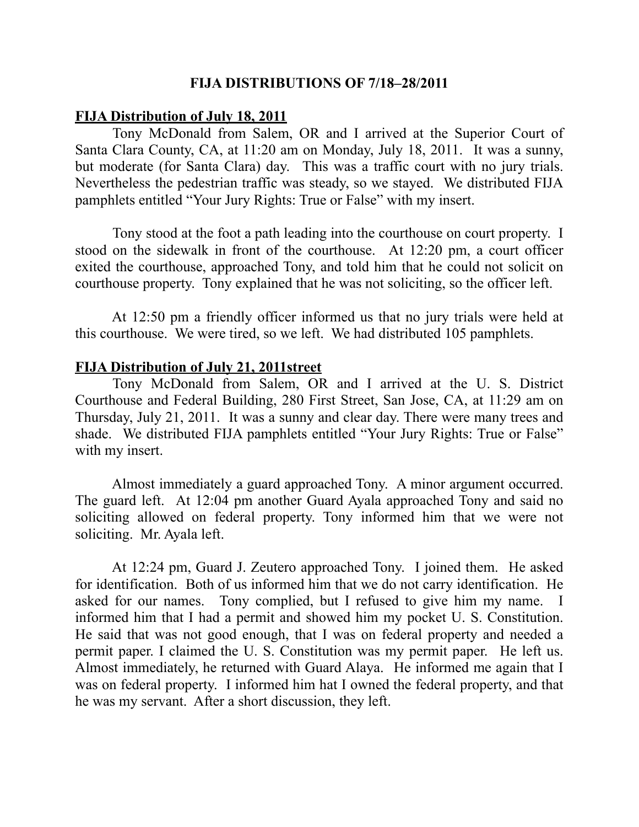#### **FIJA DISTRIBUTIONS OF 7/18–28/2011**

#### **FIJA Distribution of July 18, 2011**

 Tony McDonald from Salem, OR and I arrived at the Superior Court of Santa Clara County, CA, at 11:20 am on Monday, July 18, 2011. It was a sunny, but moderate (for Santa Clara) day. This was a traffic court with no jury trials. Nevertheless the pedestrian traffic was steady, so we stayed. We distributed FIJA pamphlets entitled "Your Jury Rights: True or False" with my insert.

 Tony stood at the foot a path leading into the courthouse on court property. I stood on the sidewalk in front of the courthouse. At 12:20 pm, a court officer exited the courthouse, approached Tony, and told him that he could not solicit on courthouse property. Tony explained that he was not soliciting, so the officer left.

 At 12:50 pm a friendly officer informed us that no jury trials were held at this courthouse. We were tired, so we left. We had distributed 105 pamphlets.

#### **FIJA Distribution of July 21, 2011street**

 Tony McDonald from Salem, OR and I arrived at the U. S. District Courthouse and Federal Building, 280 First Street, San Jose, CA, at 11:29 am on Thursday, July 21, 2011. It was a sunny and clear day. There were many trees and shade. We distributed FIJA pamphlets entitled "Your Jury Rights: True or False" with my insert.

 Almost immediately a guard approached Tony. A minor argument occurred. The guard left. At 12:04 pm another Guard Ayala approached Tony and said no soliciting allowed on federal property. Tony informed him that we were not soliciting. Mr. Ayala left.

 At 12:24 pm, Guard J. Zeutero approached Tony. I joined them. He asked for identification. Both of us informed him that we do not carry identification. He asked for our names. Tony complied, but I refused to give him my name. I informed him that I had a permit and showed him my pocket U. S. Constitution. He said that was not good enough, that I was on federal property and needed a permit paper. I claimed the U. S. Constitution was my permit paper. He left us. Almost immediately, he returned with Guard Alaya. He informed me again that I was on federal property. I informed him hat I owned the federal property, and that he was my servant. After a short discussion, they left.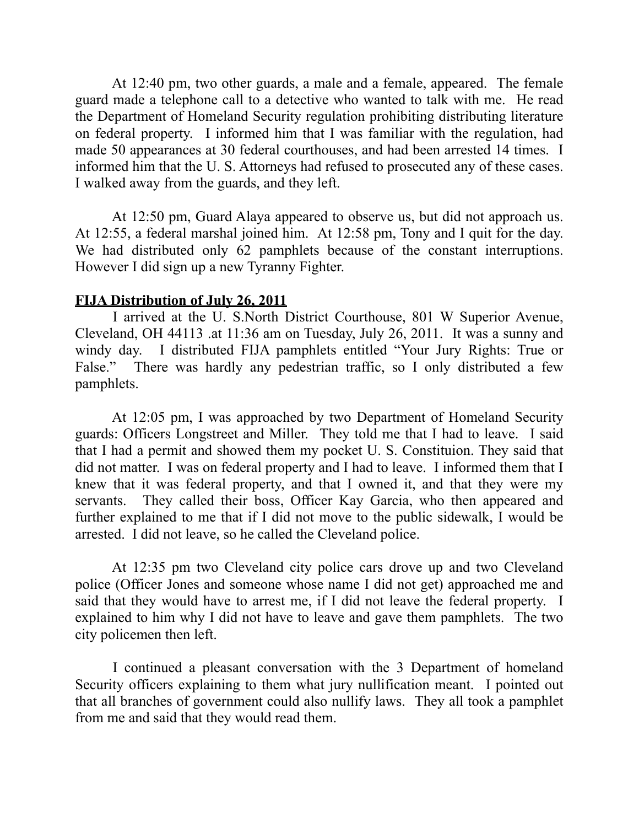At 12:40 pm, two other guards, a male and a female, appeared. The female guard made a telephone call to a detective who wanted to talk with me. He read the Department of Homeland Security regulation prohibiting distributing literature on federal property. I informed him that I was familiar with the regulation, had made 50 appearances at 30 federal courthouses, and had been arrested 14 times. I informed him that the U. S. Attorneys had refused to prosecuted any of these cases. I walked away from the guards, and they left.

 At 12:50 pm, Guard Alaya appeared to observe us, but did not approach us. At 12:55, a federal marshal joined him. At 12:58 pm, Tony and I quit for the day. We had distributed only 62 pamphlets because of the constant interruptions. However I did sign up a new Tyranny Fighter.

### **FIJA Distribution of July 26, 2011**

 I arrived at the U. S.North District Courthouse, 801 W Superior Avenue, Cleveland, OH 44113 .at 11:36 am on Tuesday, July 26, 2011. It was a sunny and windy day. I distributed FIJA pamphlets entitled "Your Jury Rights: True or False." There was hardly any pedestrian traffic, so I only distributed a few pamphlets.

 At 12:05 pm, I was approached by two Department of Homeland Security guards: Officers Longstreet and Miller. They told me that I had to leave. I said that I had a permit and showed them my pocket U. S. Constituion. They said that did not matter. I was on federal property and I had to leave. I informed them that I knew that it was federal property, and that I owned it, and that they were my servants. They called their boss, Officer Kay Garcia, who then appeared and further explained to me that if I did not move to the public sidewalk, I would be arrested. I did not leave, so he called the Cleveland police.

 At 12:35 pm two Cleveland city police cars drove up and two Cleveland police (Officer Jones and someone whose name I did not get) approached me and said that they would have to arrest me, if I did not leave the federal property. I explained to him why I did not have to leave and gave them pamphlets. The two city policemen then left.

 I continued a pleasant conversation with the 3 Department of homeland Security officers explaining to them what jury nullification meant. I pointed out that all branches of government could also nullify laws. They all took a pamphlet from me and said that they would read them.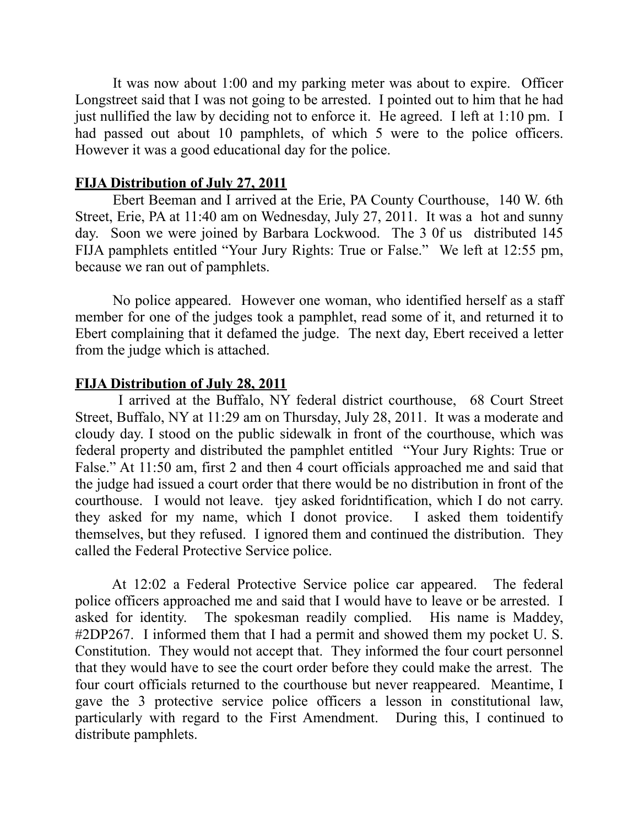It was now about 1:00 and my parking meter was about to expire. Officer Longstreet said that I was not going to be arrested. I pointed out to him that he had just nullified the law by deciding not to enforce it. He agreed. I left at 1:10 pm. I had passed out about 10 pamphlets, of which 5 were to the police officers. However it was a good educational day for the police.

## **FIJA Distribution of July 27, 2011**

 Ebert Beeman and I arrived at the Erie, PA County Courthouse, 140 W. 6th Street, Erie, PA at 11:40 am on Wednesday, July 27, 2011. It was a hot and sunny day. Soon we were joined by Barbara Lockwood. The 3 0f us distributed 145 FIJA pamphlets entitled "Your Jury Rights: True or False." We left at 12:55 pm, because we ran out of pamphlets.

 No police appeared. However one woman, who identified herself as a staff member for one of the judges took a pamphlet, read some of it, and returned it to Ebert complaining that it defamed the judge. The next day, Ebert received a letter from the judge which is attached.

# **FIJA Distribution of July 28, 2011**

 I arrived at the Buffalo, NY federal district courthouse, 68 Court Street Street, Buffalo, NY at 11:29 am on Thursday, July 28, 2011. It was a moderate and cloudy day. I stood on the public sidewalk in front of the courthouse, which was federal property and distributed the pamphlet entitled "Your Jury Rights: True or False." At 11:50 am, first 2 and then 4 court officials approached me and said that the judge had issued a court order that there would be no distribution in front of the courthouse. I would not leave. tjey asked foridntification, which I do not carry. they asked for my name, which I donot provice. I asked them toidentify themselves, but they refused. I ignored them and continued the distribution. They called the Federal Protective Service police.

 At 12:02 a Federal Protective Service police car appeared. The federal police officers approached me and said that I would have to leave or be arrested. I asked for identity. The spokesman readily complied. His name is Maddey, #2DP267. I informed them that I had a permit and showed them my pocket U. S. Constitution. They would not accept that. They informed the four court personnel that they would have to see the court order before they could make the arrest. The four court officials returned to the courthouse but never reappeared. Meantime, I gave the 3 protective service police officers a lesson in constitutional law, particularly with regard to the First Amendment. During this, I continued to distribute pamphlets.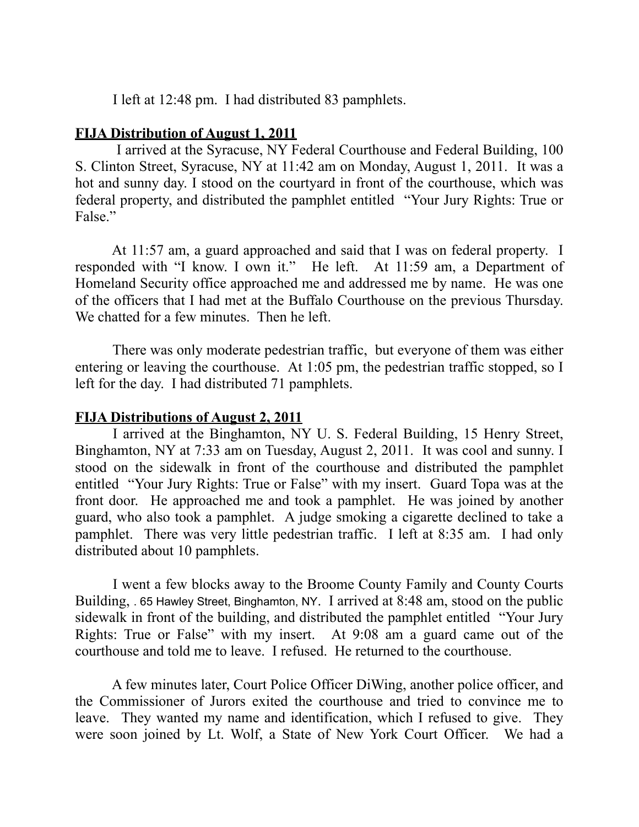I left at 12:48 pm. I had distributed 83 pamphlets.

# **FIJA Distribution of August 1, 2011**

 I arrived at the Syracuse, NY Federal Courthouse and Federal Building, 100 S. Clinton Street, Syracuse, NY at 11:42 am on Monday, August 1, 2011. It was a hot and sunny day. I stood on the courtyard in front of the courthouse, which was federal property, and distributed the pamphlet entitled "Your Jury Rights: True or False."

 At 11:57 am, a guard approached and said that I was on federal property. I responded with "I know. I own it." He left. At 11:59 am, a Department of Homeland Security office approached me and addressed me by name. He was one of the officers that I had met at the Buffalo Courthouse on the previous Thursday. We chatted for a few minutes. Then he left.

 There was only moderate pedestrian traffic, but everyone of them was either entering or leaving the courthouse. At 1:05 pm, the pedestrian traffic stopped, so I left for the day. I had distributed 71 pamphlets.

### **FIJA Distributions of August 2, 2011**

 I arrived at the Binghamton, NY U. S. Federal Building, 15 Henry Street, Binghamton, NY at 7:33 am on Tuesday, August 2, 2011. It was cool and sunny. I stood on the sidewalk in front of the courthouse and distributed the pamphlet entitled "Your Jury Rights: True or False" with my insert. Guard Topa was at the front door. He approached me and took a pamphlet. He was joined by another guard, who also took a pamphlet. A judge smoking a cigarette declined to take a pamphlet. There was very little pedestrian traffic. I left at 8:35 am. I had only distributed about 10 pamphlets.

 I went a few blocks away to the Broome County Family and County Courts Building, . 65 Hawley Street, Binghamton, NY. I arrived at 8:48 am, stood on the public sidewalk in front of the building, and distributed the pamphlet entitled "Your Jury Rights: True or False" with my insert. At 9:08 am a guard came out of the courthouse and told me to leave. I refused. He returned to the courthouse.

 A few minutes later, Court Police Officer DiWing, another police officer, and the Commissioner of Jurors exited the courthouse and tried to convince me to leave. They wanted my name and identification, which I refused to give. They were soon joined by Lt. Wolf, a State of New York Court Officer. We had a